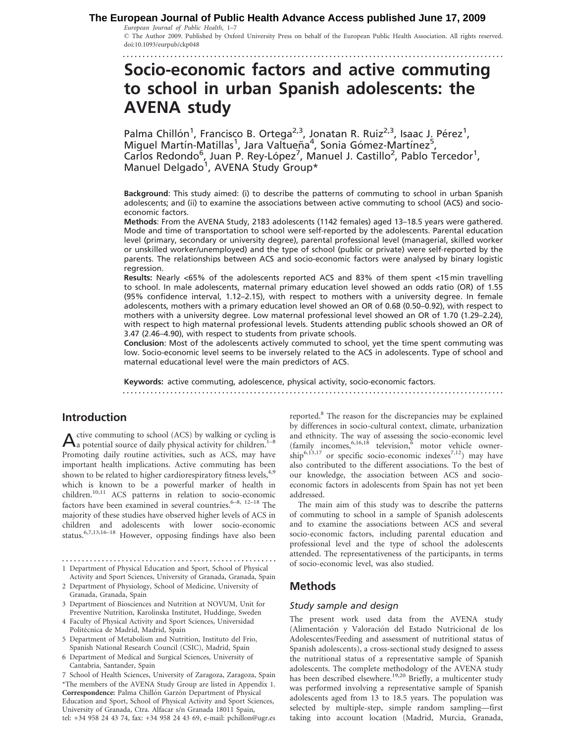#### European Journal of Public Health, 1–7 **The European Journal of Public Health Advance Access published June 17, 2009**

................................................................................................ The Author 2009. Published by Oxford University Press on behalf of the European Public Health Association. All rights reserved. doi:10.1093/eurpub/ckp048

# Socio-economic factors and active commuting to school in urban Spanish adolescents: the AVENA study

Palma Chillón<sup>1</sup>, Francisco B. Ortega<sup>2,3</sup>, Jonatan R. Ruiz<sup>2,3</sup>, Isaac J. Pérez<sup>1</sup>, Miguel Martín-Matillas<sup>1</sup>, Jara Valtueña<sup>4</sup>, Sonia Gómez-Martínez<sup>5</sup>, Carlos Redondo<sup>6</sup>, Juan P. Rey-López<sup>7</sup>, Manuel J. Castillo<sup>2</sup>, Pablo Tercedor<sup>1</sup>, Manuel Delgado<sup>1</sup>, AVENA Study Group\*

Background: This study aimed: (i) to describe the patterns of commuting to school in urban Spanish adolescents; and (ii) to examine the associations between active commuting to school (ACS) and socioeconomic factors.

Methods: From the AVENA Study, 2183 adolescents (1142 females) aged 13–18.5 years were gathered. Mode and time of transportation to school were self-reported by the adolescents. Parental education level (primary, secondary or university degree), parental professional level (managerial, skilled worker or unskilled worker/unemployed) and the type of school (public or private) were self-reported by the parents. The relationships between ACS and socio-economic factors were analysed by binary logistic regression.

Results: Nearly <65% of the adolescents reported ACS and 83% of them spent <15 min travelling to school. In male adolescents, maternal primary education level showed an odds ratio (OR) of 1.55 (95% confidence interval, 1.12–2.15), with respect to mothers with a university degree. In female adolescents, mothers with a primary education level showed an OR of 0.68 (0.50–0.92), with respect to mothers with a university degree. Low maternal professional level showed an OR of 1.70 (1.29–2.24), with respect to high maternal professional levels. Students attending public schools showed an OR of 3.47 (2.46–4.90), with respect to students from private schools.

Conclusion: Most of the adolescents actively commuted to school, yet the time spent commuting was low. Socio-economic level seems to be inversely related to the ACS in adolescents. Type of school and maternal educational level were the main predictors of ACS.

Keywords: active commuting, adolescence, physical activity, socio-economic factors.

................................................................................................

# Introduction

 $A$  ctive commuting to school (ACS) by walking or cycling is a potential source of daily physical activity for children.<sup>1–8</sup> Promoting daily routine activities, such as ACS, may have important health implications. Active commuting has been shown to be related to higher cardiorespiratory fitness levels,<sup>4,9</sup> which is known to be a powerful marker of health in children.10,11 ACS patterns in relation to socio-economic factors have been examined in several countries.<sup>6–8, 12–18</sup> The majority of these studies have observed higher levels of ACS in children and adolescents with lower socio-economic status.6,7,13,16–18 However, opposing findings have also been

1 Department of Physical Education and Sport, School of Physical

- 3 Department of Biosciences and Nutrition at NOVUM, Unit for Preventive Nutrition, Karolinska Institutet, Huddinge, Sweden
- 4 Faculty of Physical Activity and Sport Sciences, Universidad Politécnica de Madrid, Madrid, Spain
- 5 Department of Metabolism and Nutrition, Instituto del Frio, Spanish National Research Council (CSIC), Madrid, Spain
- 6 Department of Medical and Surgical Sciences, University of Cantabria, Santander, Spain

\*The members of the AVENA Study Group are listed in Appendix 1. Correspondence: Palma Chillón Garzón Department of Physical Education and Sport, School of Physical Activity and Sport Sciences, University of Granada, Ctra. Alfacar s/n Granada 18011 Spain, tel: +34 958 24 43 74, fax: +34 958 24 43 69, e-mail: pchillon@ugr.es 7 School of Health Sciences, University of Zaragoza, Zaragoza, Spain reported.8 The reason for the discrepancies may be explained by differences in socio-cultural context, climate, urbanization and ethnicity. The way of assessing the socio-economic level (family incomes,  $6,16,18$  television, motor vehicle owner- $\text{ship}^{6,13,17}$  or specific socio-economic indexes<sup>7,12</sup>) may have also contributed to the different associations. To the best of our knowledge, the association between ACS and socioeconomic factors in adolescents from Spain has not yet been addressed.

The main aim of this study was to describe the patterns of commuting to school in a sample of Spanish adolescents and to examine the associations between ACS and several socio-economic factors, including parental education and professional level and the type of school the adolescents attended. The representativeness of the participants, in terms of socio-economic level, was also studied.

# Methods

## Study sample and design

The present work used data from the AVENA study (Alimentación y Valoración del Estado Nutricional de los Adolescentes/Feeding and assessment of nutritional status of Spanish adolescents), a cross-sectional study designed to assess the nutritional status of a representative sample of Spanish adolescents. The complete methodology of the AVENA study has been described elsewhere.<sup>19,20</sup> Briefly, a multicenter study was performed involving a representative sample of Spanish adolescents aged from 13 to 18.5 years. The population was selected by multiple-step, simple random sampling—first taking into account location (Madrid, Murcia, Granada,

Activity and Sport Sciences, University of Granada, Granada, Spain 2 Department of Physiology, School of Medicine, University of Granada, Granada, Spain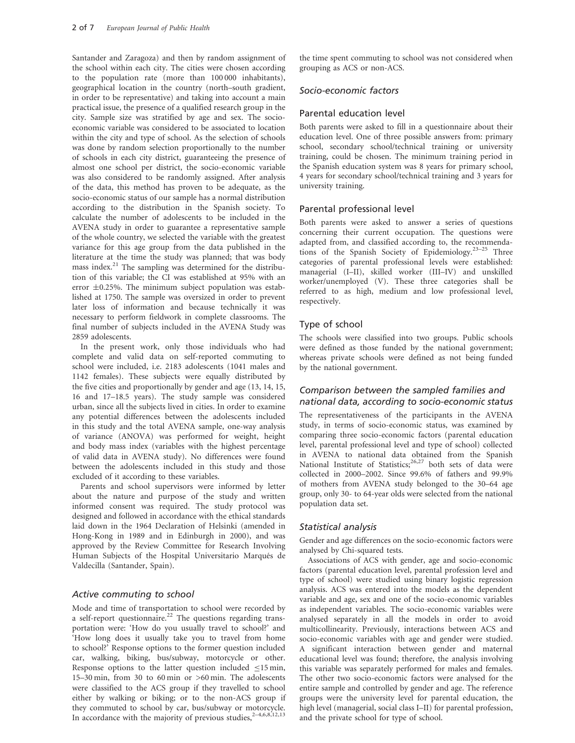Santander and Zaragoza) and then by random assignment of the school within each city. The cities were chosen according to the population rate (more than 100 000 inhabitants), geographical location in the country (north–south gradient, in order to be representative) and taking into account a main practical issue, the presence of a qualified research group in the city. Sample size was stratified by age and sex. The socioeconomic variable was considered to be associated to location within the city and type of school. As the selection of schools was done by random selection proportionally to the number of schools in each city district, guaranteeing the presence of almost one school per district, the socio-economic variable was also considered to be randomly assigned. After analysis of the data, this method has proven to be adequate, as the socio-economic status of our sample has a normal distribution according to the distribution in the Spanish society. To calculate the number of adolescents to be included in the AVENA study in order to guarantee a representative sample of the whole country, we selected the variable with the greatest variance for this age group from the data published in the literature at the time the study was planned; that was body mass index.<sup>21</sup> The sampling was determined for the distribution of this variable; the CI was established at 95% with an error  $\pm 0.25$ %. The minimum subject population was established at 1750. The sample was oversized in order to prevent later loss of information and because technically it was necessary to perform fieldwork in complete classrooms. The final number of subjects included in the AVENA Study was 2859 adolescents.

In the present work, only those individuals who had complete and valid data on self-reported commuting to school were included, i.e. 2183 adolescents (1041 males and 1142 females). These subjects were equally distributed by the five cities and proportionally by gender and age (13, 14, 15, 16 and 17–18.5 years). The study sample was considered urban, since all the subjects lived in cities. In order to examine any potential differences between the adolescents included in this study and the total AVENA sample, one-way analysis of variance (ANOVA) was performed for weight, height and body mass index (variables with the highest percentage of valid data in AVENA study). No differences were found between the adolescents included in this study and those excluded of it according to these variables.

Parents and school supervisors were informed by letter about the nature and purpose of the study and written informed consent was required. The study protocol was designed and followed in accordance with the ethical standards laid down in the 1964 Declaration of Helsinki (amended in Hong-Kong in 1989 and in Edinburgh in 2000), and was approved by the Review Committee for Research Involving Human Subjects of the Hospital Universitario Marqués de Valdecilla (Santander, Spain).

#### Active commuting to school

Mode and time of transportation to school were recorded by a self-report questionnaire.<sup>22</sup> The questions regarding transportation were: 'How do you usually travel to school?' and 'How long does it usually take you to travel from home to school?' Response options to the former question included car, walking, biking, bus/subway, motorcycle or other. Response options to the latter question included  $\leq$ 15 min, 15–30 min, from 30 to 60 min or >60 min. The adolescents were classified to the ACS group if they travelled to school either by walking or biking; or to the non-ACS group if they commuted to school by car, bus/subway or motorcycle. In accordance with the majority of previous studies,  $2-4,6,8,12,13$ 

the time spent commuting to school was not considered when grouping as ACS or non-ACS.

## Socio-economic factors

#### Parental education level

Both parents were asked to fill in a questionnaire about their education level. One of three possible answers from: primary school, secondary school/technical training or university training, could be chosen. The minimum training period in the Spanish education system was 8 years for primary school, 4 years for secondary school/technical training and 3 years for university training.

#### Parental professional level

Both parents were asked to answer a series of questions concerning their current occupation. The questions were adapted from, and classified according to, the recommendations of the Spanish Society of Epidemiology.23–25 Three categories of parental professional levels were established: managerial (I–II), skilled worker (III–IV) and unskilled worker/unemployed (V). These three categories shall be referred to as high, medium and low professional level, respectively.

## Type of school

The schools were classified into two groups. Public schools were defined as those funded by the national government; whereas private schools were defined as not being funded by the national government.

## Comparison between the sampled families and national data, according to socio-economic status

The representativeness of the participants in the AVENA study, in terms of socio-economic status, was examined by comparing three socio-economic factors (parental education level, parental professional level and type of school) collected in AVENA to national data obtained from the Spanish National Institute of Statistics;<sup>26,27</sup> both sets of data were collected in 2000–2002. Since 99.6% of fathers and 99.9% of mothers from AVENA study belonged to the 30–64 age group, only 30- to 64-year olds were selected from the national population data set.

#### Statistical analysis

Gender and age differences on the socio-economic factors were analysed by Chi-squared tests.

Associations of ACS with gender, age and socio-economic factors (parental education level, parental profession level and type of school) were studied using binary logistic regression analysis. ACS was entered into the models as the dependent variable and age, sex and one of the socio-economic variables as independent variables. The socio-economic variables were analysed separately in all the models in order to avoid multicollinearity. Previously, interactions between ACS and socio-economic variables with age and gender were studied. A significant interaction between gender and maternal educational level was found; therefore, the analysis involving this variable was separately performed for males and females. The other two socio-economic factors were analysed for the entire sample and controlled by gender and age. The reference groups were the university level for parental education, the high level (managerial, social class I–II) for parental profession, and the private school for type of school.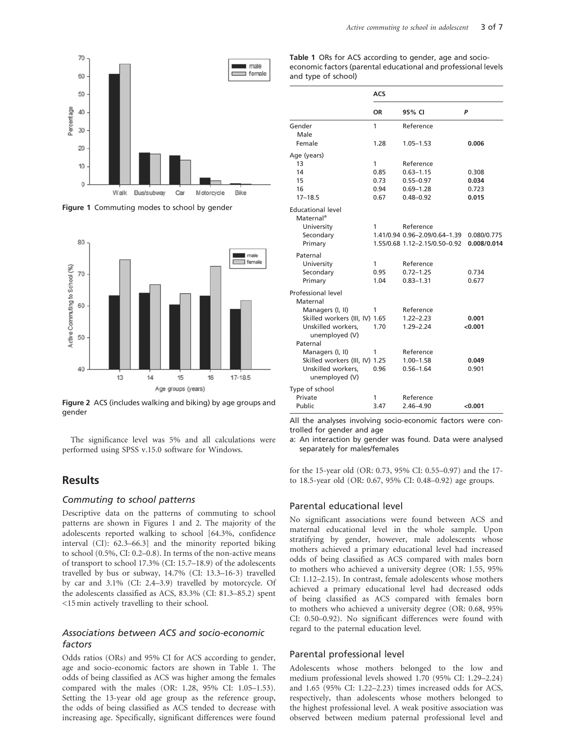

Figure 1 Commuting modes to school by gender



Figure 2 ACS (includes walking and biking) by age groups and gender

The significance level was 5% and all calculations were performed using SPSS v.15.0 software for Windows.

## **Results**

#### Commuting to school patterns

Descriptive data on the patterns of commuting to school patterns are shown in Figures 1 and 2. The majority of the adolescents reported walking to school [64.3%, confidence interval (CI): 62.3–66.3] and the minority reported biking to school (0.5%, CI: 0.2–0.8). In terms of the non-active means of transport to school 17.3% (CI: 15.7–18.9) of the adolescents travelled by bus or subway, 14.7% (CI: 13.3–16-3) travelled by car and 3.1% (CI: 2.4–3.9) travelled by motorcycle. Of the adolescents classified as ACS, 83.3% (CI: 81.3–85.2) spent <15 min actively travelling to their school.

## Associations between ACS and socio-economic factors

Odds ratios (ORs) and 95% CI for ACS according to gender, age and socio-economic factors are shown in Table 1. The odds of being classified as ACS was higher among the females compared with the males (OR: 1.28, 95% CI: 1.05–1.53). Setting the 13-year old age group as the reference group, the odds of being classified as ACS tended to decrease with increasing age. Specifically, significant differences were found Table 1 ORs for ACS according to gender, age and socioeconomic factors (parental educational and professional levels and type of school)

|                                                   | <b>ACS</b> |                                            |             |  |  |
|---------------------------------------------------|------------|--------------------------------------------|-------------|--|--|
|                                                   | ΟR         | 95% CI                                     | P           |  |  |
| Gender<br>Male                                    | 1          | Reference                                  |             |  |  |
| Female                                            | 1.28       | 1.05-1.53                                  | 0.006       |  |  |
| Age (years)                                       |            |                                            |             |  |  |
| 13                                                | 1          | Reference                                  |             |  |  |
| 14                                                | 0.85       | $0.63 - 1.15$                              | 0.308       |  |  |
| 15                                                | 0.73       | $0.55 - 0.97$                              | 0.034       |  |  |
| 16                                                | 0.94       | $0.69 - 1.28$                              | 0.723       |  |  |
| $17 - 18.5$                                       | 0.67       | $0.48 - 0.92$                              | 0.015       |  |  |
| <b>Educational level</b><br>Maternal <sup>a</sup> |            |                                            |             |  |  |
| University                                        | 1          | Reference<br>1.41/0.94 0.96-2.09/0.64-1.39 | 0.080/0.775 |  |  |
| Secondary<br>Primary                              |            | 1.55/0.68 1.12-2.15/0.50-0.92              | 0.008/0.014 |  |  |
|                                                   |            |                                            |             |  |  |
| Paternal<br>University                            | 1          | Reference                                  |             |  |  |
| Secondary                                         | 0.95       | $0.72 - 1.25$                              | 0.734       |  |  |
| Primary                                           | 1.04       | $0.83 - 1.31$                              | 0.677       |  |  |
| Professional level<br>Maternal                    |            |                                            |             |  |  |
| Managers (I, II)                                  | 1          | Reference                                  |             |  |  |
| Skilled workers (III, IV) 1.65                    |            | $1.22 - 2.23$                              | 0.001       |  |  |
| Unskilled workers,<br>unemployed (V)              | 1.70       | $1.29 - 2.24$                              | < 0.001     |  |  |
| Paternal                                          |            |                                            |             |  |  |
| Managers (I, II)                                  | 1          | Reference                                  |             |  |  |
| Skilled workers (III, IV) 1.25                    |            | $1.00 - 1.58$                              | 0.049       |  |  |
| Unskilled workers,<br>unemployed (V)              | 0.96       | $0.56 - 1.64$                              | 0.901       |  |  |
| Type of school                                    |            |                                            |             |  |  |
| Private                                           | 1          | Reference                                  |             |  |  |
| Public                                            | 3.47       | $2.46 - 4.90$                              | < 0.001     |  |  |

All the analyses involving socio-economic factors were controlled for gender and age

a: An interaction by gender was found. Data were analysed separately for males/females

for the 15-year old (OR: 0.73, 95% CI: 0.55–0.97) and the 17 to 18.5-year old (OR: 0.67, 95% CI: 0.48–0.92) age groups.

#### Parental educational level

No significant associations were found between ACS and maternal educational level in the whole sample. Upon stratifying by gender, however, male adolescents whose mothers achieved a primary educational level had increased odds of being classified as ACS compared with males born to mothers who achieved a university degree (OR: 1.55, 95% CI: 1.12–2.15). In contrast, female adolescents whose mothers achieved a primary educational level had decreased odds of being classified as ACS compared with females born to mothers who achieved a university degree (OR: 0.68, 95% CI: 0.50–0.92). No significant differences were found with regard to the paternal education level.

#### Parental professional level

Adolescents whose mothers belonged to the low and medium professional levels showed 1.70 (95% CI: 1.29–2.24) and 1.65 (95% CI: 1.22–2.23) times increased odds for ACS, respectively, than adolescents whose mothers belonged to the highest professional level. A weak positive association was observed between medium paternal professional level and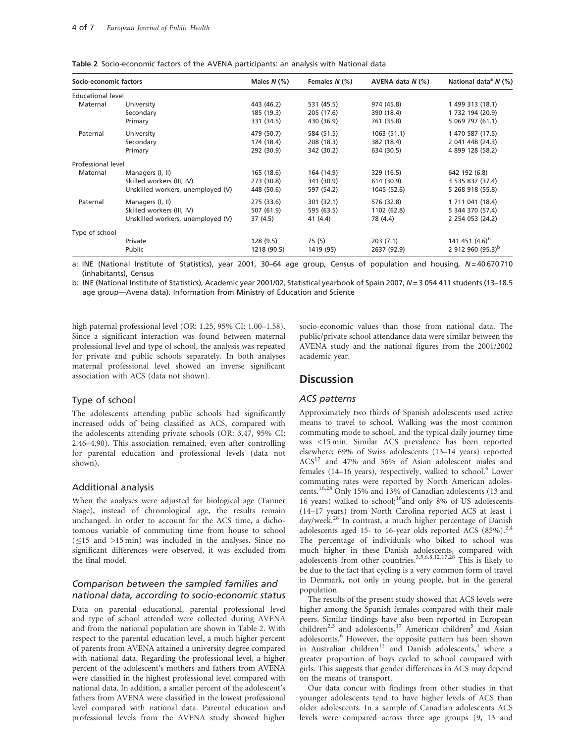| Socio-economic factors |                                   | Males $N$ (%) | Females $N$ (%) | AVENA data $N$ (%) | National data <sup>a</sup> $N$ (%) |
|------------------------|-----------------------------------|---------------|-----------------|--------------------|------------------------------------|
| Educational level      |                                   |               |                 |                    |                                    |
| Maternal               | University                        | 443 (46.2)    | 531 (45.5)      | 974 (45.8)         | 1 499 313 (18.1)                   |
|                        | Secondary                         | 185 (19.3)    | 205 (17.6)      | 390 (18.4)         | 1 732 194 (20.9)                   |
|                        | Primary                           | 331 (34.5)    | 430 (36.9)      | 761 (35.8)         | 5 069 797 (61.1)                   |
| Paternal               | University                        | 479 (50.7)    | 584 (51.5)      | 1063(51.1)         | 1 470 587 (17.5)                   |
|                        | Secondary                         | 174 (18.4)    | 208 (18.3)      | 382 (18.4)         | 2 041 448 (24.3)                   |
|                        | Primary                           | 292 (30.9)    | 342 (30.2)      | 634 (30.5)         | 4 899 128 (58.2)                   |
| Professional level     |                                   |               |                 |                    |                                    |
| Maternal               | Managers (I, II)                  | 165 (18.6)    | 164 (14.9)      | 329 (16.5)         | 642 192 (6.8)                      |
|                        | Skilled workers (III, IV)         | 273 (30.8)    | 341 (30.9)      | 614 (30.9)         | 3 535 837 (37.4)                   |
|                        | Unskilled workers, unemployed (V) | 448 (50.6)    | 597 (54.2)      | 1045 (52.6)        | 5 268 918 (55.8)                   |
| Paternal               | Managers (I, II)                  | 275 (33.6)    | 301(32.1)       | 576 (32.8)         | 1 711 041 (18.4)                   |
|                        | Skilled workers (III, IV)         | 507 (61.9)    | 595 (63.5)      | 1102 (62.8)        | 5 344 370 (57.4)                   |
|                        | Unskilled workers, unemployed (V) | 37 (4.5)      | 41 (4.4)        | 78 (4.4)           | 2 254 053 (24.2)                   |
| Type of school         |                                   |               |                 |                    |                                    |

Table 2 Socio-economic factors of the AVENA participants: an analysis with National data

a: INE (National Institute of Statistics), year 2001, 30–64 age group, Census of population and housing, N = 40670710 (inhabitants), Census

Private 128 (9.5) 75 (5) 203 (7.1) 141 451 (4.6)<sup>b</sup> Public 2912 960 (95.3)<sup>b</sup> 1218 (90.5) 1419 (95) 2637 (92.9) 2912 960 (95.3)<sup>b</sup>

b: INE (National Institute of Statistics), Academic year 2001/02, Statistical yearbook of Spain 2007, N = 3 054 411 students (13-18.5 age group—Avena data). Information from Ministry of Education and Science

high paternal professional level (OR: 1.25, 95% CI: 1.00–1.58). Since a significant interaction was found between maternal professional level and type of school, the analysis was repeated for private and public schools separately. In both analyses maternal professional level showed an inverse significant association with ACS (data not shown).

#### Type of school

The adolescents attending public schools had significantly increased odds of being classified as ACS, compared with the adolescents attending private schools (OR: 3.47, 95% CI: 2.46–4.90). This association remained, even after controlling for parental education and professional levels (data not shown).

#### Additional analysis

When the analyses were adjusted for biological age (Tanner Stage), instead of chronological age, the results remain unchanged. In order to account for the ACS time, a dichotomous variable of commuting time from house to school  $(\leq)15$  and  $>15$  min) was included in the analyses. Since no significant differences were observed, it was excluded from the final model.

### Comparison between the sampled families and national data, according to socio-economic status

Data on parental educational, parental professional level and type of school attended were collected during AVENA and from the national population are shown in Table 2. With respect to the parental education level, a much higher percent of parents from AVENA attained a university degree compared with national data. Regarding the professional level, a higher percent of the adolescent's mothers and fathers from AVENA were classified in the highest professional level compared with national data. In addition, a smaller percent of the adolescent's fathers from AVENA were classified in the lowest professional level compared with national data. Parental education and professional levels from the AVENA study showed higher

socio-economic values than those from national data. The public/private school attendance data were similar between the AVENA study and the national figures from the 2001/2002 academic year.

## **Discussion**

#### ACS patterns

Approximately two thirds of Spanish adolescents used active means to travel to school. Walking was the most common commuting mode to school, and the typical daily journey time was <15 min. Similar ACS prevalence has been reported elsewhere; 69% of Swiss adolescents (13–14 years) reported ACS<sup>17</sup> and 47% and 36% of Asian adolescent males and females  $(14–16 \text{ years})$ , respectively, walked to school.<sup>6</sup> Lower commuting rates were reported by North American adolescents.16,28 Only 15% and 13% of Canadian adolescents (13 and 16 years) walked to school;<sup>16</sup>and only 8% of US adolescents (14–17 years) from North Carolina reported ACS at least 1 day/week.<sup>28</sup> In contrast, a much higher percentage of Danish adolescents aged 15- to 16-year olds reported ACS  $(85\%)$ .<sup>2,4</sup> The percentage of individuals who biked to school was much higher in these Danish adolescents, compared with adolescents from other countries.<sup>3,5,6,8,12,17,28</sup> This is likely to be due to the fact that cycling is a very common form of travel in Denmark, not only in young people, but in the general population.

The results of the present study showed that ACS levels were higher among the Spanish females compared with their male peers. Similar findings have also been reported in European children<sup>2,3</sup> and adolescents,<sup>17</sup> American children<sup>5</sup> and Asian adolescents.<sup>6</sup> However, the opposite pattern has been shown in Australian children<sup>12</sup> and Danish adolescents,<sup>4</sup> where a greater proportion of boys cycled to school compared with girls. This suggests that gender differences in ACS may depend on the means of transport.

Our data concur with findings from other studies in that younger adolescents tend to have higher levels of ACS than older adolescents. In a sample of Canadian adolescents ACS levels were compared across three age groups (9, 13 and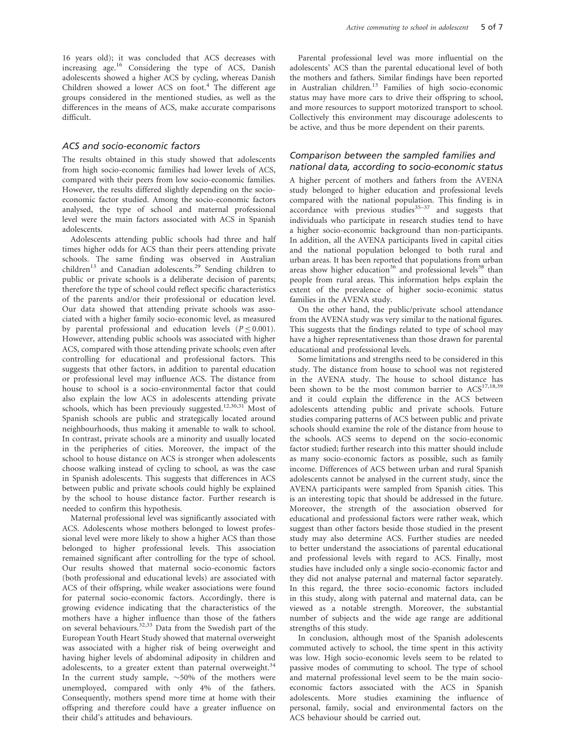16 years old); it was concluded that ACS decreases with increasing age.<sup>16</sup> Considering the type of ACS, Danish adolescents showed a higher ACS by cycling, whereas Danish Children showed a lower ACS on foot.<sup>4</sup> The different age groups considered in the mentioned studies, as well as the differences in the means of ACS, make accurate comparisons difficult.

#### ACS and socio-economic factors

The results obtained in this study showed that adolescents from high socio-economic families had lower levels of ACS, compared with their peers from low socio-economic families. However, the results differed slightly depending on the socioeconomic factor studied. Among the socio-economic factors analysed, the type of school and maternal professional level were the main factors associated with ACS in Spanish adolescents.

Adolescents attending public schools had three and half times higher odds for ACS than their peers attending private schools. The same finding was observed in Australian children<sup>13</sup> and Canadian adolescents.<sup>29</sup> Sending children to public or private schools is a deliberate decision of parents; therefore the type of school could reflect specific characteristics of the parents and/or their professional or education level. Our data showed that attending private schools was associated with a higher family socio-economic level, as measured by parental professional and education levels ( $P \le 0.001$ ). However, attending public schools was associated with higher ACS, compared with those attending private schools; even after controlling for educational and professional factors. This suggests that other factors, in addition to parental education or professional level may influence ACS. The distance from house to school is a socio-environmental factor that could also explain the low ACS in adolescents attending private schools, which has been previously suggested.<sup>12,30,31</sup> Most of Spanish schools are public and strategically located around neighbourhoods, thus making it amenable to walk to school. In contrast, private schools are a minority and usually located in the peripheries of cities. Moreover, the impact of the school to house distance on ACS is stronger when adolescents choose walking instead of cycling to school, as was the case in Spanish adolescents. This suggests that differences in ACS between public and private schools could highly be explained by the school to house distance factor. Further research is needed to confirm this hypothesis.

Maternal professional level was significantly associated with ACS. Adolescents whose mothers belonged to lowest professional level were more likely to show a higher ACS than those belonged to higher professional levels. This association remained significant after controlling for the type of school. Our results showed that maternal socio-economic factors (both professional and educational levels) are associated with ACS of their offspring, while weaker associations were found for paternal socio-economic factors. Accordingly, there is growing evidence indicating that the characteristics of the mothers have a higher influence than those of the fathers on several behaviours.32,33 Data from the Swedish part of the European Youth Heart Study showed that maternal overweight was associated with a higher risk of being overweight and having higher levels of abdominal adiposity in children and adolescents, to a greater extent than paternal overweight.<sup>34</sup> In the current study sample,  $\sim$ 50% of the mothers were unemployed, compared with only 4% of the fathers. Consequently, mothers spend more time at home with their offspring and therefore could have a greater influence on their child's attitudes and behaviours.

Parental professional level was more influential on the adolescents' ACS than the parental educational level of both the mothers and fathers. Similar findings have been reported in Australian children.<sup>13</sup> Families of high socio-economic status may have more cars to drive their offspring to school, and more resources to support motorized transport to school. Collectively this environment may discourage adolescents to be active, and thus be more dependent on their parents.

## Comparison between the sampled families and national data, according to socio-economic status

A higher percent of mothers and fathers from the AVENA study belonged to higher education and professional levels compared with the national population. This finding is in accordance with previous studies<sup>35–37</sup> and suggests that individuals who participate in research studies tend to have a higher socio-economic background than non-participants. In addition, all the AVENA participants lived in capital cities and the national population belonged to both rural and urban areas. It has been reported that populations from urban areas show higher education<sup>36</sup> and professional levels<sup>38</sup> than people from rural areas. This information helps explain the extent of the prevalence of higher socio-econimic status families in the AVENA study.

On the other hand, the public/private school attendance from the AVENA study was very similar to the national figures. This suggests that the findings related to type of school may have a higher representativeness than those drawn for parental educational and professional levels.

Some limitations and strengths need to be considered in this study. The distance from house to school was not registered in the AVENA study. The house to school distance has been shown to be the most common barrier to  $\text{ACS}^{17,18,39}$ and it could explain the difference in the ACS between adolescents attending public and private schools. Future studies comparing patterns of ACS between public and private schools should examine the role of the distance from house to the schools. ACS seems to depend on the socio-economic factor studied; further research into this matter should include as many socio-economic factors as possible, such as family income. Differences of ACS between urban and rural Spanish adolescents cannot be analysed in the current study, since the AVENA participants were sampled from Spanish cities. This is an interesting topic that should be addressed in the future. Moreover, the strength of the association observed for educational and professional factors were rather weak, which suggest than other factors beside those studied in the present study may also determine ACS. Further studies are needed to better understand the associations of parental educational and professional levels with regard to ACS. Finally, most studies have included only a single socio-economic factor and they did not analyse paternal and maternal factor separately. In this regard, the three socio-economic factors included in this study, along with paternal and maternal data, can be viewed as a notable strength. Moreover, the substantial number of subjects and the wide age range are additional strengths of this study.

In conclusion, although most of the Spanish adolescents commuted actively to school, the time spent in this activity was low. High socio-economic levels seem to be related to passive modes of commuting to school. The type of school and maternal professional level seem to be the main socioeconomic factors associated with the ACS in Spanish adolescents. More studies examining the influence of personal, family, social and environmental factors on the ACS behaviour should be carried out.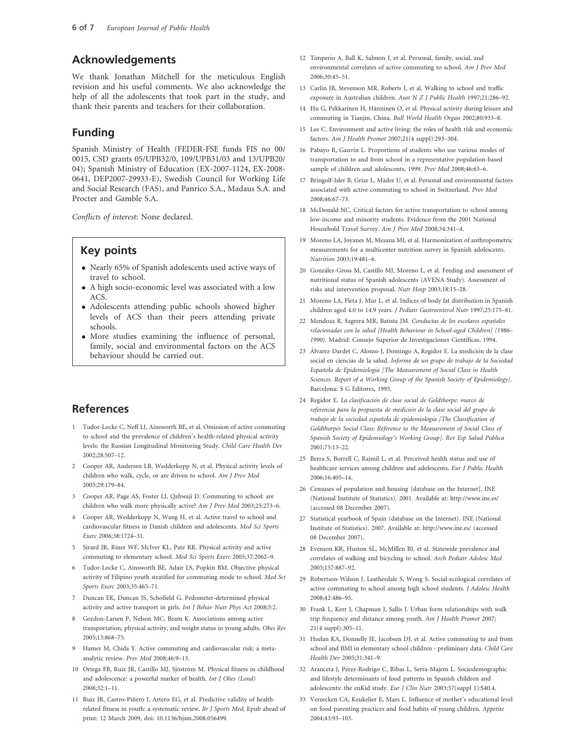## Acknowledgements

We thank Jonathan Mitchell for the meticulous English revision and his useful comments. We also acknowledge the help of all the adolescents that took part in the study, and thank their parents and teachers for their collaboration.

# Funding

Spanish Ministry of Health (FEDER-FSE funds FIS no 00/ 0015, CSD grants 05/UPB32/0, 109/UPB31/03 and 13/UPB20/ 04); Spanish Ministry of Education (EX-2007-1124, EX-2008- 0641, DEP2007-29933-E), Swedish Council for Working Life and Social Research (FAS), and Panrico S.A., Madaus S.A. and Procter and Gamble S.A.

Conflicts of interest: None declared.

# Key points

- Nearly 65% of Spanish adolescents used active ways of travel to school.
- A high socio-economic level was associated with a low ACS.
- Adolescents attending public schools showed higher levels of ACS than their peers attending private schools.
- More studies examining the influence of personal, family, social and environmental factors on the ACS behaviour should be carried out.

# References

- 1 Tudor-Locke C, Neff LJ, Ainsworth BE, et al. Omission of active commuting to school and the prevalence of children's health-related physical activity levels: the Russian Longitudinal Monitoring Study. Child Care Health Dev 2002;28:507–12.
- 2 Cooper AR, Andersen LB, Wedderkopp N, et al. Physical activity levels of children who walk, cycle, or are driven to school. Am J Prev Med 2005;29:179–84.
- 3 Cooper AR, Page AS, Foster LJ, Qahwaji D. Commuting to school: are children who walk more physically active? Am J Prev Med 2003;25:273–6.
- 4 Cooper AR, Wedderkopp N, Wang H, et al. Active travel to school and cardiovascular fitness in Danish children and adolescents. Med Sci Sports Exerc 2006;38:1724–31.
- 5 Sirard JR, Riner WF, McIver KL, Pate RR. Physical activity and active commuting to elementary school. Med Sci Sports Exerc 2005;37:2062–9.
- 6 Tudor-Locke C, Ainsworth BE, Adair LS, Popkin BM. Objective physical activity of Filipino youth stratified for commuting mode to school. Med Sci Sports Exerc 2003;35:465–71.
- 7 Duncan EK, Duncan JS, Schofield G. Pedometer-determined physical activity and active transport in girls. Int J Behav Nutr Phys Act 2008;5:2.
- 8 Gordon-Larsen P, Nelson MC, Beam K. Associations among active transportation, physical activity, and weight status in young adults. Obes Res 2005;13:868–75.
- 9 Hamer M, Chida Y. Active commuting and cardiovascular risk: a metaanalytic review. Prev Med 2008;46:9–13.
- 10 Ortega FB, Ruiz JR, Castillo MJ, Sjöström M. Physical fitness in childhood and adolescence: a powerful marker of health. Int J Obes (Lond) 2008;32:1–11.
- 11 Ruiz JR, Castro-Piñero J, Artero EG, et al. Predictive validity of healthrelated fitness in youth: a systematic review. Br J Sports Med, Epub ahead of print: 12 March 2009, doi: 10.1136/bjsm.2008.056499.
- 12 Timperio A, Ball K, Salmon J, et al. Personal, family, social, and environmental correlates of active commuting to school. Am J Prev Med 2006;30:45–51.
- 13 Carlin JB, Stevenson MR, Roberts I, et al. Walking to school and traffic exposure in Australian children. Aust N Z J Public Health 1997;21:286–92.
- 14 Hu G, Pekkarinen H, Hänninen O, et al. Physical activity during leisure and commuting in Tianjin, China. Bull World Health Organ 2002;80:933–8.
- 15 Lee C. Environment and active living: the roles of health risk and economic factors. Am J Health Promot 2007;21(4 suppl):293–304.
- 16 Pabayo R, Gauvin L. Proportions of students who use various modes of transportation to and from school in a representative population-based sample of children and adolescents, 1999. Prev Med 2008;46:63–6.
- 17 Bringolf-Isler B, Grize L, Mäder U, et al. Personal and environmental factors associated with active commuting to school in Switzerland. Prev Med 2008;46:67–73.
- 18 McDonald NC. Critical factors for active transportation to school among low-income and minority students. Evidence from the 2001 National Household Travel Survey. Am J Prev Med 2008;34:341–4.
- 19 Moreno LA, Joyanes M, Mesana MI, et al. Harmonization of anthropometric measurements for a multicenter nutrition survey in Spanish adolescents. Nutrition 2003;19:481–6.
- 20 González-Gross M, Castillo MJ, Moreno L, et al. Feeding and assessment of nutritional status of Spanish adolescents (AVENA Study). Assessment of risks and intervention proposal. Nutr Hosp 2003;18:15–28.
- 21 Moreno LA, Fleta J, Mur L, et al. Indices of body fat distribution in Spanish children aged 4.0 to 14.9 years. J Pediatr Gastroenterol Nutr 1997;25:175–81.
- 22 Mendoza R, Sagrera MR, Batista JM. Conductas de los escolares españoles relacionadas con la salud [Health Behaviour in School-aged Children] (1986– 1990). Madrid: Consejo Superior de Investigaciones Científicas, 1994.
- 23 Álvarez-Dardet C, Alonso J, Domingo A, Regidor E. La medición de la clase social en ciencias de la salud. Informe de un grupo de trabajo de la Sociedad Española de Epidemiología [The Measurement of Social Class in Health Sciences. Report of a Working Group of the Spanish Society of Epidemiology]. Barcelona: S G Editores, 1995.
- 24 Regidor E. La clasificación de clase social de Goldthorpe: marco de referencia para la propuesta de medición de la clase social del grupo de trabajo de la sociedad española de epidemiología [The Classification of Goldthorpès Social Class: Reference to the Measurement of Social Class of Spanish Society of Epidemiology's Working Group]. Rev Esp Salud Publica 2001;75:13–22.
- 25 Berra S, Borrell C, Rajmil L, et al. Perceived health status and use of healthcare services among children and adolescents. Eur J Public Health 2006;16:405–14.
- 26 Censuses of population and housing [database on the Internet]. INE (National Institute of Statistics). 2001. Available at:<http://www.ine.es/> (accessed 08 December 2007).
- 27 Statistical yearbook of Spain (database on the Internet). INE (National Institute of Statistics). 2007. Available at:<http://www.ine.es/> (accessed 08 December 2007).
- 28 Evenson KR, Huston SL, McMillen BJ, et al. Statewide prevalence and correlates of walking and bicycling to school. Arch Pediatr Adolesc Med 2003;157:887–92.
- 29 Robertson-Wilson J, Leatherdale S, Wong S. Social-ecological correlates of active commuting to school among high school students. J Adolesc Health 2008;42:486–95.
- 30 Frank L, Kerr J, Chapman J, Sallis J. Urban form relationships with walk trip frequency and distance among youth. Am J Health Promot 2007; 21(4 suppl):305–11.
- 31 Heelan KA, Donnelly JE, Jacobsen DJ, et al. Active commuting to and from school and BMI in elementary school children - preliminary data. Child Care Health Dev 2005;31:341–9.
- 32 Aranceta J, Pérez-Rodrigo C, Ribas L, Serra-Majem L. Sociodemographic and lifestyle determinants of food patterns in Spanish children and adolescents: the enKid study. Eur J Clin Nutr 2003;57(suppl 1):S40.4.
- 33 Vereecken CA, Keukelier E, Maes L. Influence of mother's educational level on food parenting practices and food habits of young children. Appetite 2004;43:93–103.